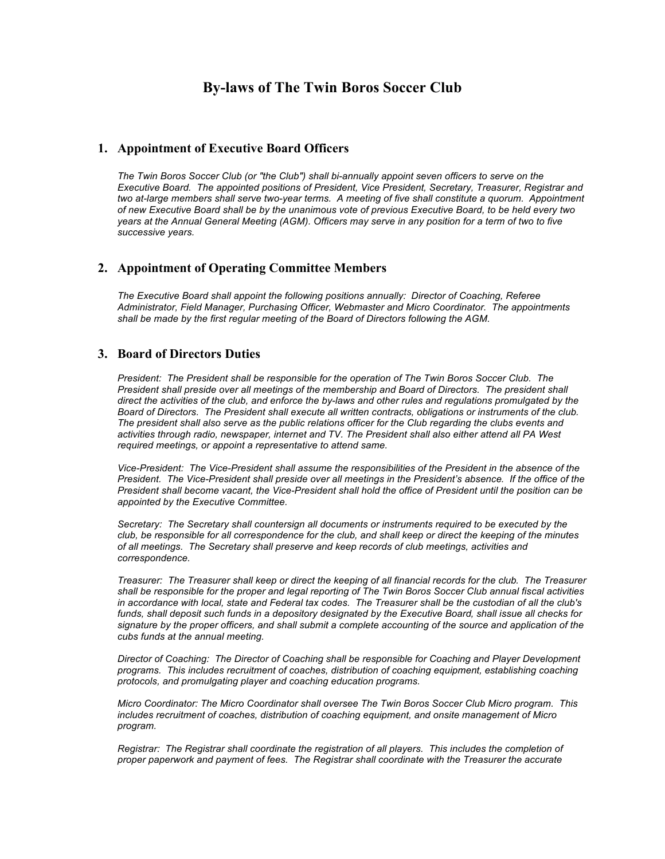# **By-laws of The Twin Boros Soccer Club**

### **1. Appointment of Executive Board Officers**

*The Twin Boros Soccer Club (or "the Club") shall bi-annually appoint seven officers to serve on the Executive Board. The appointed positions of President, Vice President, Secretary, Treasurer, Registrar and two at-large members shall serve two-year terms. A meeting of five shall constitute a quorum. Appointment of new Executive Board shall be by the unanimous vote of previous Executive Board, to be held every two years at the Annual General Meeting (AGM). Officers may serve in any position for a term of two to five successive years.*

# **2. Appointment of Operating Committee Members**

*The Executive Board shall appoint the following positions annually: Director of Coaching, Referee Administrator, Field Manager, Purchasing Officer, Webmaster and Micro Coordinator. The appointments shall be made by the first regular meeting of the Board of Directors following the AGM.* 

# **3. Board of Directors Duties**

*President: The President shall be responsible for the operation of The Twin Boros Soccer Club. The President shall preside over all meetings of the membership and Board of Directors. The president shall direct the activities of the club, and enforce the by-laws and other rules and regulations promulgated by the Board of Directors. The President shall execute all written contracts, obligations or instruments of the club. The president shall also serve as the public relations officer for the Club regarding the clubs events and activities through radio, newspaper, internet and TV. The President shall also either attend all PA West required meetings, or appoint a representative to attend same.* 

*Vice-President: The Vice-President shall assume the responsibilities of the President in the absence of the President. The Vice-President shall preside over all meetings in the President's absence. If the office of the President shall become vacant, the Vice-President shall hold the office of President until the position can be appointed by the Executive Committee.* 

*Secretary: The Secretary shall countersign all documents or instruments required to be executed by the club, be responsible for all correspondence for the club, and shall keep or direct the keeping of the minutes of all meetings. The Secretary shall preserve and keep records of club meetings, activities and correspondence.* 

*Treasurer: The Treasurer shall keep or direct the keeping of all financial records for the club. The Treasurer shall be responsible for the proper and legal reporting of The Twin Boros Soccer Club annual fiscal activities in accordance with local, state and Federal tax codes. The Treasurer shall be the custodian of all the club's funds, shall deposit such funds in a depository designated by the Executive Board, shall issue all checks for signature by the proper officers, and shall submit a complete accounting of the source and application of the cubs funds at the annual meeting.*

*Director of Coaching: The Director of Coaching shall be responsible for Coaching and Player Development programs. This includes recruitment of coaches, distribution of coaching equipment, establishing coaching protocols, and promulgating player and coaching education programs.*

*Micro Coordinator: The Micro Coordinator shall oversee The Twin Boros Soccer Club Micro program. This includes recruitment of coaches, distribution of coaching equipment, and onsite management of Micro program.*

*Registrar: The Registrar shall coordinate the registration of all players. This includes the completion of proper paperwork and payment of fees. The Registrar shall coordinate with the Treasurer the accurate*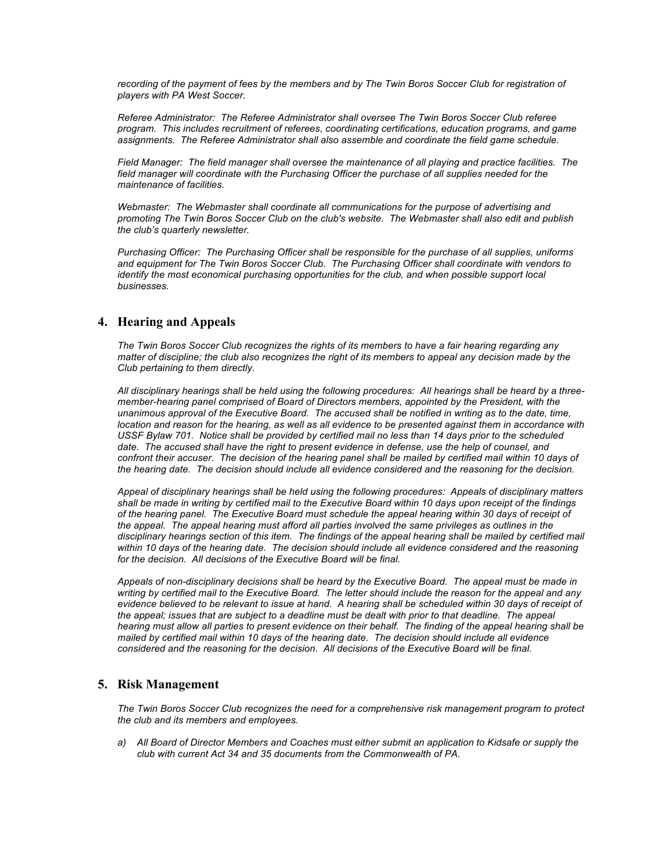*recording of the payment of fees by the members and by The Twin Boros Soccer Club for registration of players with PA West Soccer.*

*Referee Administrator: The Referee Administrator shall oversee The Twin Boros Soccer Club referee program. This includes recruitment of referees, coordinating certifications, education programs, and game assignments. The Referee Administrator shall also assemble and coordinate the field game schedule.* 

*Field Manager: The field manager shall oversee the maintenance of all playing and practice facilities. The*  field manager will coordinate with the Purchasing Officer the purchase of all supplies needed for the *maintenance of facilities.*

*Webmaster: The Webmaster shall coordinate all communications for the purpose of advertising and promoting The Twin Boros Soccer Club on the club's website. The Webmaster shall also edit and publish the club's quarterly newsletter.*

*Purchasing Officer: The Purchasing Officer shall be responsible for the purchase of all supplies, uniforms and equipment for The Twin Boros Soccer Club. The Purchasing Officer shall coordinate with vendors to identify the most economical purchasing opportunities for the club, and when possible support local businesses.*

# **4. Hearing and Appeals**

*The Twin Boros Soccer Club recognizes the rights of its members to have a fair hearing regarding any matter of discipline; the club also recognizes the right of its members to appeal any decision made by the Club pertaining to them directly.* 

*All disciplinary hearings shall be held using the following procedures: All hearings shall be heard by a threemember-hearing panel comprised of Board of Directors members, appointed by the President, with the unanimous approval of the Executive Board. The accused shall be notified in writing as to the date, time, location and reason for the hearing, as well as all evidence to be presented against them in accordance with USSF Bylaw 701. Notice shall be provided by certified mail no less than 14 days prior to the scheduled date. The accused shall have the right to present evidence in defense, use the help of counsel, and confront their accuser. The decision of the hearing panel shall be mailed by certified mail within 10 days of the hearing date. The decision should include all evidence considered and the reasoning for the decision.*

*Appeal of disciplinary hearings shall be held using the following procedures: Appeals of disciplinary matters shall be made in writing by certified mail to the Executive Board within 10 days upon receipt of the findings*  of the hearing panel. The Executive Board must schedule the appeal hearing within 30 days of receipt of *the appeal. The appeal hearing must afford all parties involved the same privileges as outlines in the disciplinary hearings section of this item. The findings of the appeal hearing shall be mailed by certified mail within 10 days of the hearing date. The decision should include all evidence considered and the reasoning for the decision. All decisions of the Executive Board will be final.*

*Appeals of non-disciplinary decisions shall be heard by the Executive Board. The appeal must be made in writing by certified mail to the Executive Board. The letter should include the reason for the appeal and any evidence believed to be relevant to issue at hand. A hearing shall be scheduled within 30 days of receipt of* the appeal; issues that are subject to a deadline must be dealt with prior to that deadline. The appeal *hearing must allow all parties to present evidence on their behalf. The finding of the appeal hearing shall be mailed by certified mail within 10 days of the hearing date. The decision should include all evidence considered and the reasoning for the decision. All decisions of the Executive Board will be final.*

### **5. Risk Management**

*The Twin Boros Soccer Club recognizes the need for a comprehensive risk management program to protect the club and its members and employees.*

*a) All Board of Director Members and Coaches must either submit an application to Kidsafe or supply the club with current Act 34 and 35 documents from the Commonwealth of PA.*